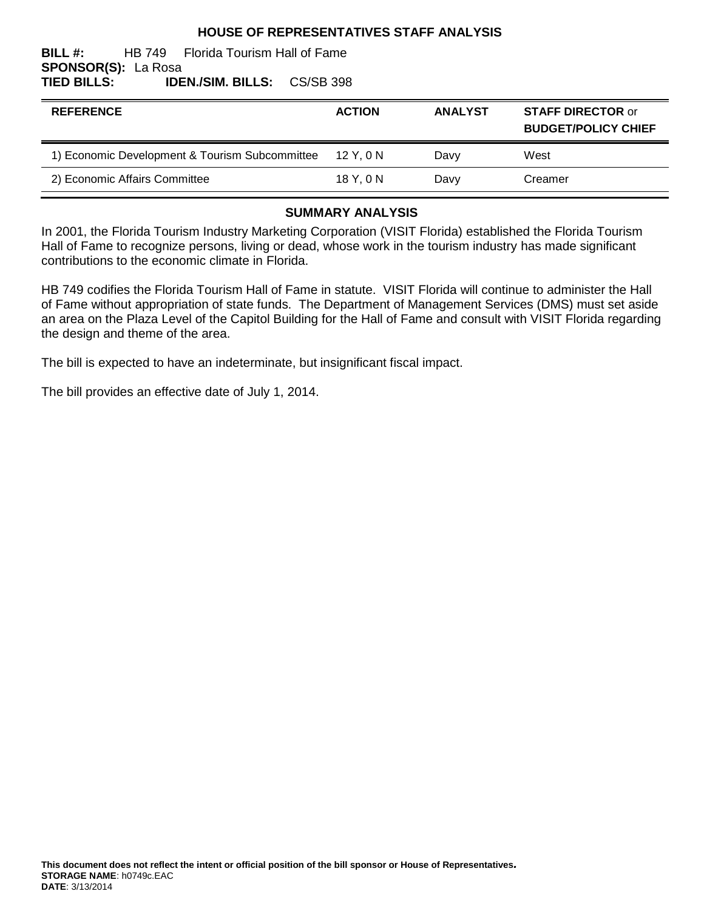## **HOUSE OF REPRESENTATIVES STAFF ANALYSIS**

#### **BILL #:** HB 749 Florida Tourism Hall of Fame **SPONSOR(S):** La Rosa **TIED BILLS: IDEN./SIM. BILLS:** CS/SB 398

| <b>REFERENCE</b>                               | <b>ACTION</b> | <b>ANALYST</b> | <b>STAFF DIRECTOR or</b><br><b>BUDGET/POLICY CHIEF</b> |
|------------------------------------------------|---------------|----------------|--------------------------------------------------------|
| 1) Economic Development & Tourism Subcommittee | 12 Y.ON       | Davy           | West                                                   |
| 2) Economic Affairs Committee                  | 18 Y.ON       | Davy           | Creamer                                                |

## **SUMMARY ANALYSIS**

In 2001, the Florida Tourism Industry Marketing Corporation (VISIT Florida) established the Florida Tourism Hall of Fame to recognize persons, living or dead, whose work in the tourism industry has made significant contributions to the economic climate in Florida.

HB 749 codifies the Florida Tourism Hall of Fame in statute. VISIT Florida will continue to administer the Hall of Fame without appropriation of state funds. The Department of Management Services (DMS) must set aside an area on the Plaza Level of the Capitol Building for the Hall of Fame and consult with VISIT Florida regarding the design and theme of the area.

The bill is expected to have an indeterminate, but insignificant fiscal impact.

The bill provides an effective date of July 1, 2014.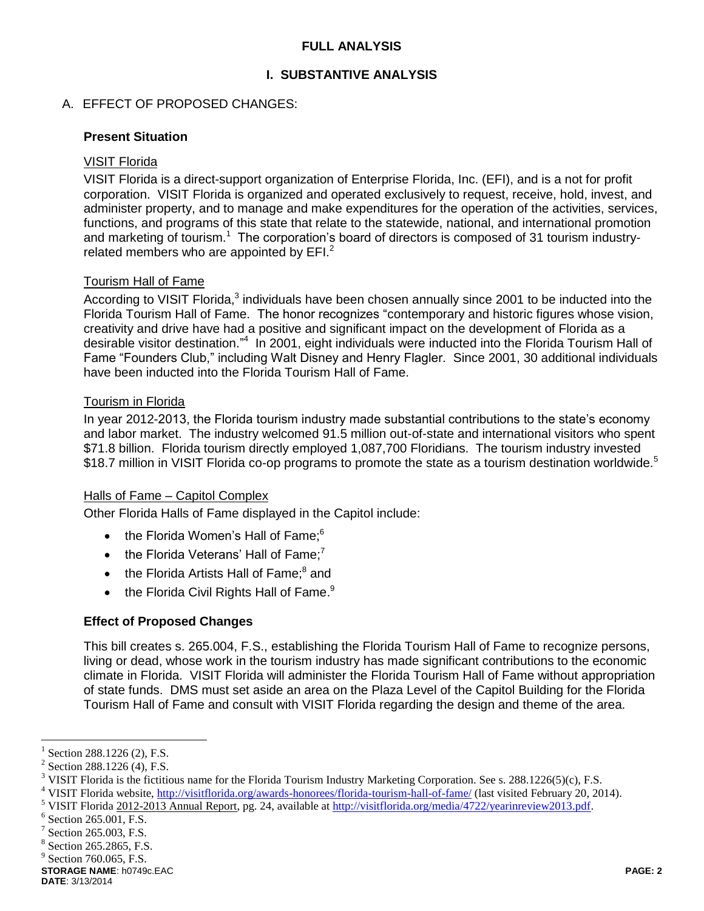## **FULL ANALYSIS**

## **I. SUBSTANTIVE ANALYSIS**

### A. EFFECT OF PROPOSED CHANGES:

#### **Present Situation**

#### VISIT Florida

VISIT Florida is a direct-support organization of Enterprise Florida, Inc. (EFI), and is a not for profit corporation. VISIT Florida is organized and operated exclusively to request, receive, hold, invest, and administer property, and to manage and make expenditures for the operation of the activities, services, functions, and programs of this state that relate to the statewide, national, and international promotion and marketing of tourism.<sup>1</sup> The corporation's board of directors is composed of 31 tourism industryrelated members who are appointed by  $EFL<sup>2</sup>$ 

### Tourism Hall of Fame

According to VISIT Florida,<sup>3</sup> individuals have been chosen annually since 2001 to be inducted into the Florida Tourism Hall of Fame. The honor recognizes "contemporary and historic figures whose vision, creativity and drive have had a positive and significant impact on the development of Florida as a desirable visitor destination."<sup>4</sup> In 2001, eight individuals were inducted into the Florida Tourism Hall of Fame "Founders Club," including Walt Disney and Henry Flagler. Since 2001, 30 additional individuals have been inducted into the Florida Tourism Hall of Fame.

## Tourism in Florida

In year 2012-2013, the Florida tourism industry made substantial contributions to the state's economy and labor market. The industry welcomed 91.5 million out-of-state and international visitors who spent \$71.8 billion. Florida tourism directly employed 1,087,700 Floridians. The tourism industry invested \$18.7 million in VISIT Florida co-op programs to promote the state as a tourism destination worldwide.<sup>5</sup>

#### Halls of Fame – Capitol Complex

Other Florida Halls of Fame displayed in the Capitol include:

- $\bullet$  the Florida Women's Hall of Fame: $6$
- $\bullet$  the Florida Veterans' Hall of Fame:<sup>7</sup>
- $\bullet$  the Florida Artists Hall of Fame; $^8$  and
- $\bullet$  the Florida Civil Rights Hall of Fame.<sup>9</sup>

#### **Effect of Proposed Changes**

This bill creates s. 265.004, F.S., establishing the Florida Tourism Hall of Fame to recognize persons, living or dead, whose work in the tourism industry has made significant contributions to the economic climate in Florida. VISIT Florida will administer the Florida Tourism Hall of Fame without appropriation of state funds. DMS must set aside an area on the Plaza Level of the Capitol Building for the Florida Tourism Hall of Fame and consult with VISIT Florida regarding the design and theme of the area.

**STORAGE NAME**: h0749c.EAC **PAGE: 2**

 $\overline{a}$ 

<sup>1</sup> Section 288.1226 (2), F.S.

 $2$  Section 288.1226 (4), F.S.

<sup>&</sup>lt;sup>3</sup> VISIT Florida is the fictitious name for the Florida Tourism Industry Marketing Corporation. See s. 288.1226(5)(c), F.S.

<sup>&</sup>lt;sup>4</sup> VISIT Florida website[, http://visitflorida.org/awards-honorees/florida-tourism-hall-of-fame/](http://visitflorida.org/awards-honorees/florida-tourism-hall-of-fame/) (last visited February 20, 2014).

<sup>&</sup>lt;sup>5</sup> VISIT Florida 2012-2013 Annual Report, pg. 24, available at [http://visitflorida.org/media/4722/yearinreview2013.pdf.](http://visitflorida.org/media/4722/yearinreview2013.pdf)

 $6$  Section 265.001, F.S.

<sup>7</sup> Section 265.003, F.S.

<sup>8</sup> Section 265.2865, F.S.

 $<sup>9</sup>$  Section 760.065, F.S.</sup>

**DATE**: 3/13/2014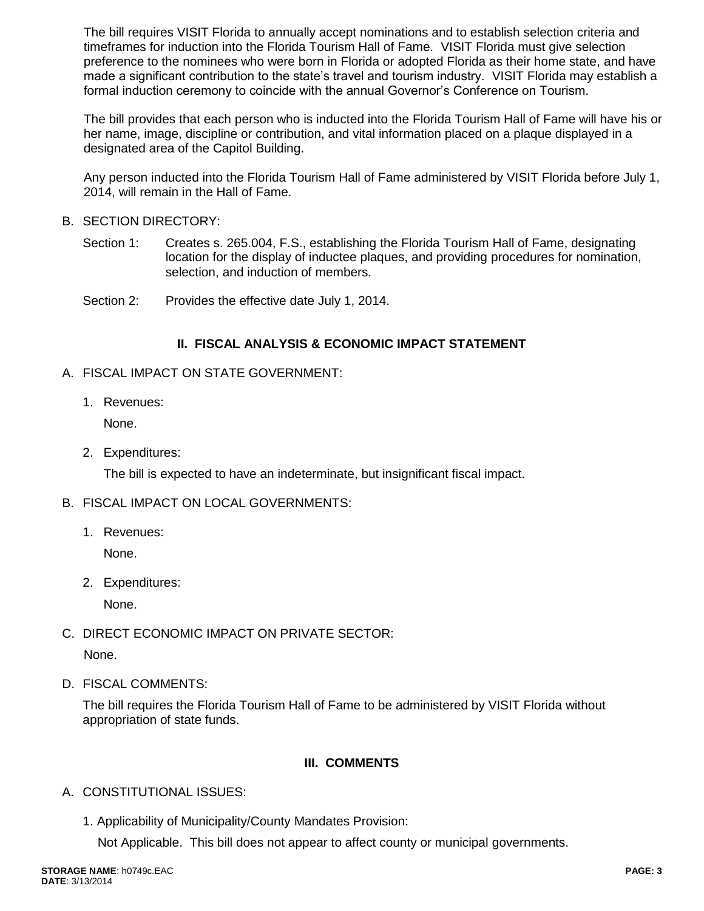The bill requires VISIT Florida to annually accept nominations and to establish selection criteria and timeframes for induction into the Florida Tourism Hall of Fame. VISIT Florida must give selection preference to the nominees who were born in Florida or adopted Florida as their home state, and have made a significant contribution to the state's travel and tourism industry. VISIT Florida may establish a formal induction ceremony to coincide with the annual Governor's Conference on Tourism.

The bill provides that each person who is inducted into the Florida Tourism Hall of Fame will have his or her name, image, discipline or contribution, and vital information placed on a plaque displayed in a designated area of the Capitol Building.

Any person inducted into the Florida Tourism Hall of Fame administered by VISIT Florida before July 1, 2014, will remain in the Hall of Fame.

- B. SECTION DIRECTORY:
	- Section 1: Creates s. 265.004, F.S., establishing the Florida Tourism Hall of Fame, designating location for the display of inductee plaques, and providing procedures for nomination, selection, and induction of members.
	- Section 2: Provides the effective date July 1, 2014.

## **II. FISCAL ANALYSIS & ECONOMIC IMPACT STATEMENT**

- A. FISCAL IMPACT ON STATE GOVERNMENT:
	- 1. Revenues:

None.

2. Expenditures:

The bill is expected to have an indeterminate, but insignificant fiscal impact.

- B. FISCAL IMPACT ON LOCAL GOVERNMENTS:
	- 1. Revenues:

None.

2. Expenditures:

None.

- C. DIRECT ECONOMIC IMPACT ON PRIVATE SECTOR: None.
- D. FISCAL COMMENTS:

The bill requires the Florida Tourism Hall of Fame to be administered by VISIT Florida without appropriation of state funds.

## **III. COMMENTS**

- A. CONSTITUTIONAL ISSUES:
	- 1. Applicability of Municipality/County Mandates Provision:

Not Applicable. This bill does not appear to affect county or municipal governments.